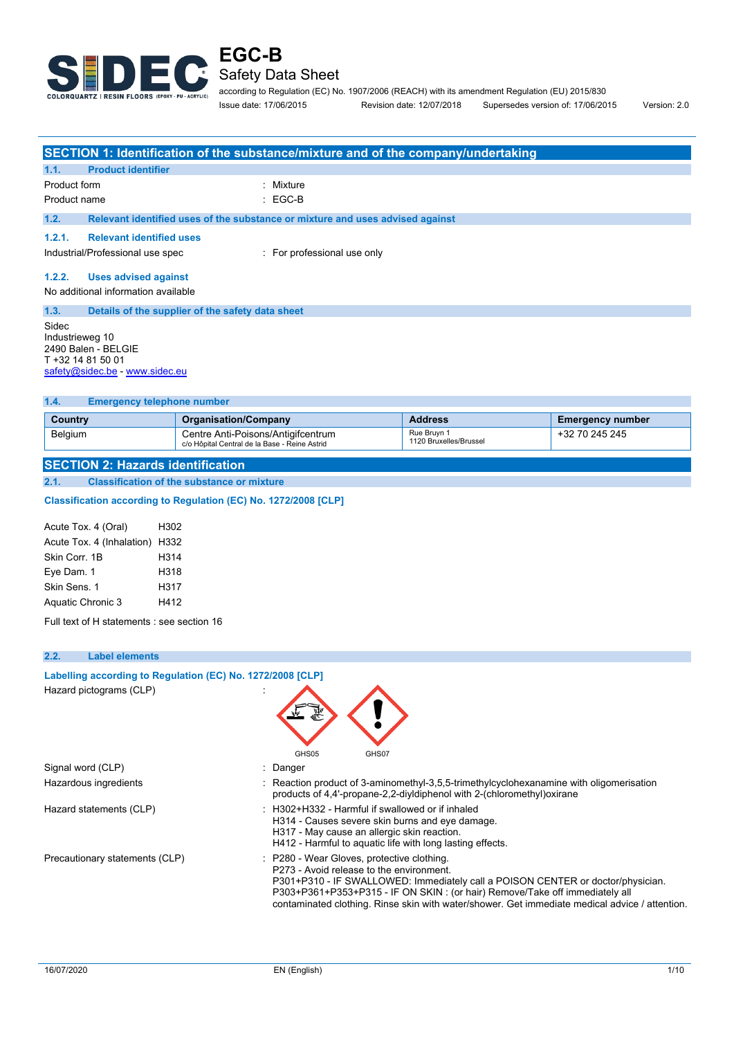

according to Regulation (EC) No. 1907/2006 (REACH) with its amendment Regulation (EU) 2015/830 Issue date: 17/06/2015 Revision date: 12/07/2018 Supersedes version of: 17/06/2015 Version: 2.0

|                          |                                                                            | SECTION 1: Identification of the substance/mixture and of the company/undertaking |
|--------------------------|----------------------------------------------------------------------------|-----------------------------------------------------------------------------------|
| 1.1.                     | <b>Product identifier</b>                                                  |                                                                                   |
| Product form             |                                                                            | : Mixture                                                                         |
| Product name             |                                                                            | : EGC-B                                                                           |
| 1.2.                     |                                                                            | Relevant identified uses of the substance or mixture and uses advised against     |
| 1.2.1.                   | <b>Relevant identified uses</b>                                            |                                                                                   |
|                          | Industrial/Professional use spec                                           | For professional use only                                                         |
| 1.2.2.                   | <b>Uses advised against</b>                                                |                                                                                   |
|                          | No additional information available                                        |                                                                                   |
| 1.3.                     | Details of the supplier of the safety data sheet                           |                                                                                   |
| Sidec<br>Industrieweg 10 | 2490 Balen - BELGIE<br>T +32 14 81 50 01<br>safety@sidec.be - www.sidec.eu |                                                                                   |

**1.4. Emergency telephone number**

| .              |                                                                                     |                                       |                         |
|----------------|-------------------------------------------------------------------------------------|---------------------------------------|-------------------------|
| Country        | <b>Organisation/Company</b>                                                         | <b>Address</b>                        | <b>Emergency number</b> |
| <b>Belgium</b> | Centre Anti-Poisons/Antigifcentrum<br>c/o Hôpital Central de la Base - Reine Astrid | Rue Bruvn 1<br>1120 Bruxelles/Brussel | +32 70 245 245          |
|                |                                                                                     |                                       |                         |

**SECTION 2: Hazards identification 2.1. Classification of the substance or mixture**

**Classification according to Regulation (EC) No. 1272/2008 [CLP]** 

| Acute Tox. 4 (Oral)            | H302 |
|--------------------------------|------|
| Acute Tox. 4 (Inhalation) H332 |      |
| Skin Corr. 1B                  | H314 |
| Eye Dam. 1                     | H318 |
| Skin Sens. 1                   | H317 |
| Aquatic Chronic 3              | H412 |

Full text of H statements : see section 16

| 2.2.<br><b>Label elements</b>                              |                                                                                                                                                                                                                                                                                                                                                            |
|------------------------------------------------------------|------------------------------------------------------------------------------------------------------------------------------------------------------------------------------------------------------------------------------------------------------------------------------------------------------------------------------------------------------------|
| Labelling according to Regulation (EC) No. 1272/2008 [CLP] |                                                                                                                                                                                                                                                                                                                                                            |
| Hazard pictograms (CLP)                                    | GHS05<br>GHS07                                                                                                                                                                                                                                                                                                                                             |
| Signal word (CLP)                                          | : Danger                                                                                                                                                                                                                                                                                                                                                   |
| Hazardous ingredients                                      | : Reaction product of 3-aminomethyl-3,5,5-trimethylcyclohexanamine with oligomerisation<br>products of 4,4'-propane-2,2-diyldiphenol with 2-(chloromethyl) oxirane                                                                                                                                                                                         |
| Hazard statements (CLP)                                    | : H302+H332 - Harmful if swallowed or if inhaled<br>H314 - Causes severe skin burns and eye damage.<br>H317 - May cause an allergic skin reaction.<br>H412 - Harmful to aquatic life with long lasting effects.                                                                                                                                            |
| Precautionary statements (CLP)                             | : P280 - Wear Gloves, protective clothing.<br>P273 - Avoid release to the environment.<br>P301+P310 - IF SWALLOWED: Immediately call a POISON CENTER or doctor/physician.<br>P303+P361+P353+P315 - IF ON SKIN: (or hair) Remove/Take off immediately all<br>contaminated clothing. Rinse skin with water/shower. Get immediate medical advice / attention. |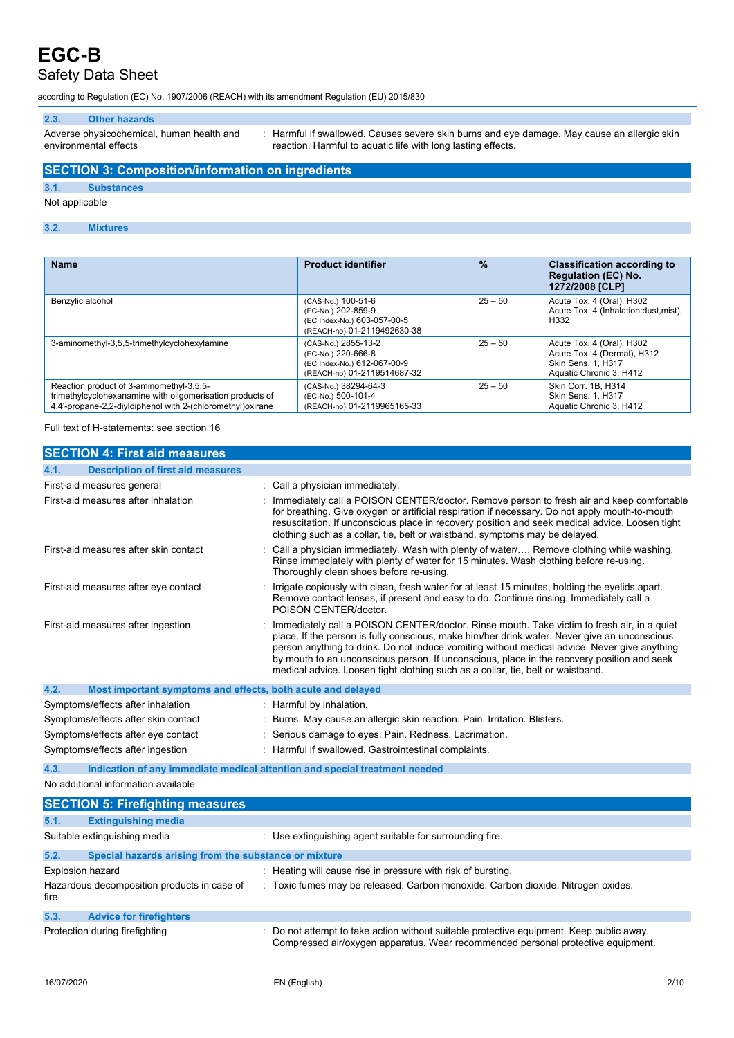## Safety Data Sheet

according to Regulation (EC) No. 1907/2006 (REACH) with its amendment Regulation (EU) 2015/830

#### **2.3. Other hazards**

Adverse physicochemical, human health and environmental effects

: Harmful if swallowed. Causes severe skin burns and eye damage. May cause an allergic skin reaction. Harmful to aquatic life with long lasting effects.

#### **SECTION 3: Composition/information on ingredients**

#### **3.1. Substances**

Not applicable

#### **3.2. Mixtures**

| <b>Name</b>                                                                                                                                                          | <b>Product identifier</b>                                                                               | $\frac{9}{6}$ | <b>Classification according to</b><br><b>Regulation (EC) No.</b><br>1272/2008 [CLP]                              |
|----------------------------------------------------------------------------------------------------------------------------------------------------------------------|---------------------------------------------------------------------------------------------------------|---------------|------------------------------------------------------------------------------------------------------------------|
| Benzylic alcohol                                                                                                                                                     | (CAS-No.) 100-51-6<br>(EC-No.) 202-859-9<br>(EC Index-No.) 603-057-00-5<br>(REACH-no) 01-2119492630-38  | $25 - 50$     | Acute Tox. 4 (Oral), H302<br>Acute Tox. 4 (Inhalation:dust, mist),<br>H332                                       |
| 3-aminomethyl-3,5,5-trimethylcyclohexylamine                                                                                                                         | (CAS-No.) 2855-13-2<br>(EC-No.) 220-666-8<br>(EC Index-No.) 612-067-00-9<br>(REACH-no) 01-2119514687-32 | $25 - 50$     | Acute Tox. 4 (Oral), H302<br>Acute Tox. 4 (Dermal), H312<br><b>Skin Sens. 1. H317</b><br>Aquatic Chronic 3, H412 |
| Reaction product of 3-aminomethyl-3,5,5-<br>trimethylcyclohexanamine with oligomerisation products of<br>4.4'-propane-2.2-dividiphenol with 2-(chloromethyl) oxirane | (CAS-No.) 38294-64-3<br>(EC-No.) 500-101-4<br>(REACH-no) 01-2119965165-33                               | $25 - 50$     | Skin Corr. 1B. H314<br><b>Skin Sens. 1. H317</b><br>Aquatic Chronic 3, H412                                      |

Full text of H-statements: see section 16

| <b>SECTION 4: First aid measures</b>                                |                                                                                                                                                                                                                                                                                                                                                                                                                                                                             |  |
|---------------------------------------------------------------------|-----------------------------------------------------------------------------------------------------------------------------------------------------------------------------------------------------------------------------------------------------------------------------------------------------------------------------------------------------------------------------------------------------------------------------------------------------------------------------|--|
| <b>Description of first aid measures</b><br>4.1.                    |                                                                                                                                                                                                                                                                                                                                                                                                                                                                             |  |
| First-aid measures general                                          | Call a physician immediately.                                                                                                                                                                                                                                                                                                                                                                                                                                               |  |
| First-aid measures after inhalation                                 | Immediately call a POISON CENTER/doctor. Remove person to fresh air and keep comfortable<br>for breathing. Give oxygen or artificial respiration if necessary. Do not apply mouth-to-mouth<br>resuscitation. If unconscious place in recovery position and seek medical advice. Loosen tight<br>clothing such as a collar, tie, belt or waistband. symptoms may be delayed.                                                                                                 |  |
| First-aid measures after skin contact                               | Call a physician immediately. Wash with plenty of water/ Remove clothing while washing.<br>Rinse immediately with plenty of water for 15 minutes. Wash clothing before re-using.<br>Thoroughly clean shoes before re-using.                                                                                                                                                                                                                                                 |  |
| First-aid measures after eye contact                                | Irrigate copiously with clean, fresh water for at least 15 minutes, holding the eyelids apart.<br>Remove contact lenses, if present and easy to do. Continue rinsing. Immediately call a<br>POISON CENTER/doctor.                                                                                                                                                                                                                                                           |  |
| First-aid measures after ingestion                                  | Immediately call a POISON CENTER/doctor. Rinse mouth. Take victim to fresh air, in a quiet<br>place. If the person is fully conscious, make him/her drink water. Never give an unconscious<br>person anything to drink. Do not induce vomiting without medical advice. Never give anything<br>by mouth to an unconscious person. If unconscious, place in the recovery position and seek<br>medical advice. Loosen tight clothing such as a collar, tie, belt or waistband. |  |
| 4.2.<br>Most important symptoms and effects, both acute and delayed |                                                                                                                                                                                                                                                                                                                                                                                                                                                                             |  |
| Symptoms/effects after inhalation                                   | : Harmful by inhalation.                                                                                                                                                                                                                                                                                                                                                                                                                                                    |  |
| Symptoms/effects after skin contact                                 | Burns. May cause an allergic skin reaction. Pain. Irritation. Blisters.<br>÷                                                                                                                                                                                                                                                                                                                                                                                                |  |
| Symptoms/effects after eye contact                                  | Serious damage to eyes. Pain. Redness. Lacrimation.                                                                                                                                                                                                                                                                                                                                                                                                                         |  |
| Symptoms/effects after ingestion                                    | Harmful if swallowed. Gastrointestinal complaints.                                                                                                                                                                                                                                                                                                                                                                                                                          |  |
| 4.3.                                                                | Indication of any immediate medical attention and special treatment needed                                                                                                                                                                                                                                                                                                                                                                                                  |  |
| No additional information available                                 |                                                                                                                                                                                                                                                                                                                                                                                                                                                                             |  |
| <b>SECTION 5: Firefighting measures</b>                             |                                                                                                                                                                                                                                                                                                                                                                                                                                                                             |  |
| <b>Extinguishing media</b><br>5.1.                                  |                                                                                                                                                                                                                                                                                                                                                                                                                                                                             |  |
| Suitable extinguishing media                                        | : Use extinguishing agent suitable for surrounding fire.                                                                                                                                                                                                                                                                                                                                                                                                                    |  |
| 5.2.<br>Special hazards arising from the substance or mixture       |                                                                                                                                                                                                                                                                                                                                                                                                                                                                             |  |
| Explosion hazard                                                    | : Heating will cause rise in pressure with risk of bursting.                                                                                                                                                                                                                                                                                                                                                                                                                |  |
| Hazardous decomposition products in case of<br>fire                 | : Toxic fumes may be released. Carbon monoxide. Carbon dioxide. Nitrogen oxides.                                                                                                                                                                                                                                                                                                                                                                                            |  |
| <b>Advice for firefighters</b><br>5.3.                              |                                                                                                                                                                                                                                                                                                                                                                                                                                                                             |  |
| Protection during firefighting                                      | Do not attempt to take action without suitable protective equipment. Keep public away.<br>Compressed air/oxygen apparatus. Wear recommended personal protective equipment.                                                                                                                                                                                                                                                                                                  |  |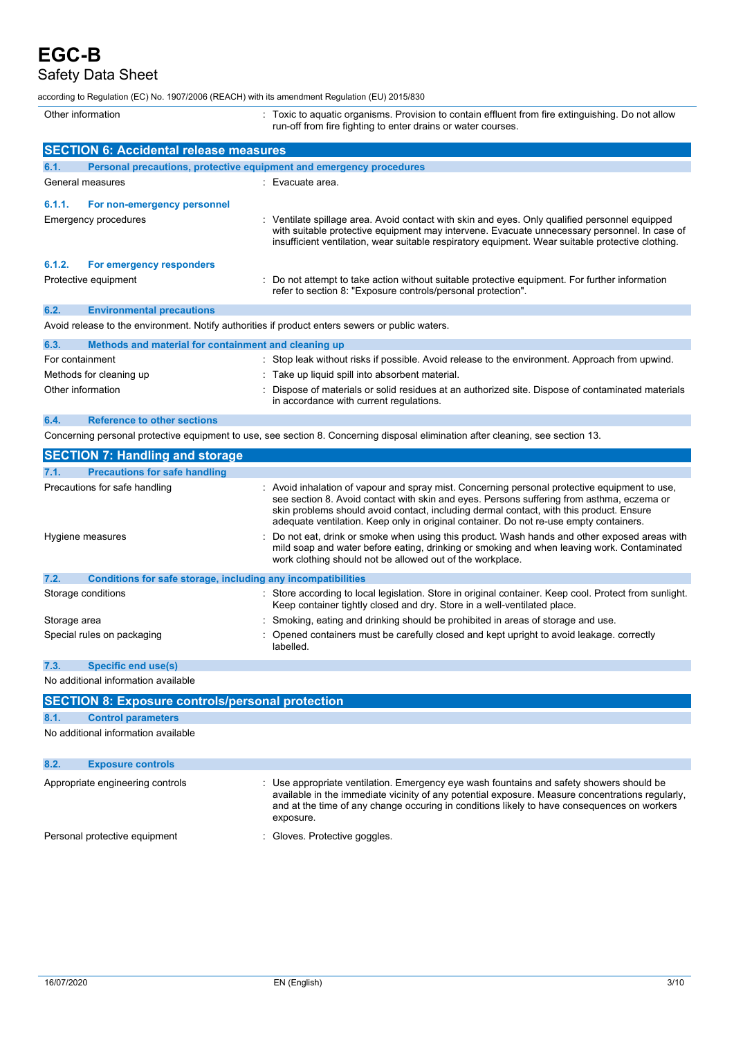Safety Data Sheet

according to Regulation (EC) No. 1907/2006 (REACH) with its amendment Regulation (EU) 2015/830

| Other information       |                                                                     |  | Toxic to aquatic organisms. Provision to contain effluent from fire extinguishing. Do not allow<br>run-off from fire fighting to enter drains or water courses.                                                                                                                                     |
|-------------------------|---------------------------------------------------------------------|--|-----------------------------------------------------------------------------------------------------------------------------------------------------------------------------------------------------------------------------------------------------------------------------------------------------|
|                         | <b>SECTION 6: Accidental release measures</b>                       |  |                                                                                                                                                                                                                                                                                                     |
| 6.1.                    | Personal precautions, protective equipment and emergency procedures |  |                                                                                                                                                                                                                                                                                                     |
| General measures        |                                                                     |  | : Evacuate area.                                                                                                                                                                                                                                                                                    |
| 6.1.1.                  | For non-emergency personnel                                         |  |                                                                                                                                                                                                                                                                                                     |
|                         | Emergency procedures                                                |  | : Ventilate spillage area. Avoid contact with skin and eyes. Only qualified personnel equipped<br>with suitable protective equipment may intervene. Evacuate unnecessary personnel. In case of<br>insufficient ventilation, wear suitable respiratory equipment. Wear suitable protective clothing. |
| 6.1.2.                  | For emergency responders                                            |  |                                                                                                                                                                                                                                                                                                     |
|                         | Protective equipment                                                |  | : Do not attempt to take action without suitable protective equipment. For further information<br>refer to section 8: "Exposure controls/personal protection".                                                                                                                                      |
| 6.2.                    | <b>Environmental precautions</b>                                    |  |                                                                                                                                                                                                                                                                                                     |
|                         |                                                                     |  | Avoid release to the environment. Notify authorities if product enters sewers or public waters.                                                                                                                                                                                                     |
| 6.3.                    | Methods and material for containment and cleaning up                |  |                                                                                                                                                                                                                                                                                                     |
| For containment         |                                                                     |  | : Stop leak without risks if possible. Avoid release to the environment. Approach from upwind.                                                                                                                                                                                                      |
| Methods for cleaning up |                                                                     |  | Take up liquid spill into absorbent material.                                                                                                                                                                                                                                                       |
| Other information       |                                                                     |  | Dispose of materials or solid residues at an authorized site. Dispose of contaminated materials<br>in accordance with current regulations.                                                                                                                                                          |

**6.4. Reference to other sections**

Concerning personal protective equipment to use, see section 8. Concerning disposal elimination after cleaning, see section 13.

| <b>SECTION 7: Handling and storage</b>                               |                                                                                                                                                                                                                                                                                                                                                                                 |
|----------------------------------------------------------------------|---------------------------------------------------------------------------------------------------------------------------------------------------------------------------------------------------------------------------------------------------------------------------------------------------------------------------------------------------------------------------------|
| <b>Precautions for safe handling</b><br>7.1.                         |                                                                                                                                                                                                                                                                                                                                                                                 |
| Precautions for safe handling                                        | : Avoid inhalation of vapour and spray mist. Concerning personal protective equipment to use,<br>see section 8. Avoid contact with skin and eyes. Persons suffering from asthma, eczema or<br>skin problems should avoid contact, including dermal contact, with this product. Ensure<br>adequate ventilation. Keep only in original container. Do not re-use empty containers. |
| Hygiene measures                                                     | : Do not eat, drink or smoke when using this product. Wash hands and other exposed areas with<br>mild soap and water before eating, drinking or smoking and when leaving work. Contaminated<br>work clothing should not be allowed out of the workplace.                                                                                                                        |
| 7.2.<br>Conditions for safe storage, including any incompatibilities |                                                                                                                                                                                                                                                                                                                                                                                 |
| Storage conditions                                                   | : Store according to local legislation. Store in original container. Keep cool. Protect from sunlight.<br>Keep container tightly closed and dry. Store in a well-ventilated place.                                                                                                                                                                                              |
| Storage area                                                         | : Smoking, eating and drinking should be prohibited in areas of storage and use.                                                                                                                                                                                                                                                                                                |
| Special rules on packaging                                           | : Opened containers must be carefully closed and kept upright to avoid leakage, correctly<br>labelled.                                                                                                                                                                                                                                                                          |

#### **7.3. Specific end use(s)**

No additional information available

|      | <b>SECTION 8: Exposure controls/personal protection</b> |                                                                                                                                                                                                                                                                                                          |
|------|---------------------------------------------------------|----------------------------------------------------------------------------------------------------------------------------------------------------------------------------------------------------------------------------------------------------------------------------------------------------------|
| 8.1. | <b>Control parameters</b>                               |                                                                                                                                                                                                                                                                                                          |
|      | No additional information available                     |                                                                                                                                                                                                                                                                                                          |
| 8.2. | <b>Exposure controls</b>                                |                                                                                                                                                                                                                                                                                                          |
|      | Appropriate engineering controls                        | : Use appropriate ventilation. Emergency eye wash fountains and safety showers should be<br>available in the immediate vicinity of any potential exposure. Measure concentrations regularly,<br>and at the time of any change occuring in conditions likely to have consequences on workers<br>exposure. |
|      | Personal protective equipment                           | Gloves. Protective goggles.                                                                                                                                                                                                                                                                              |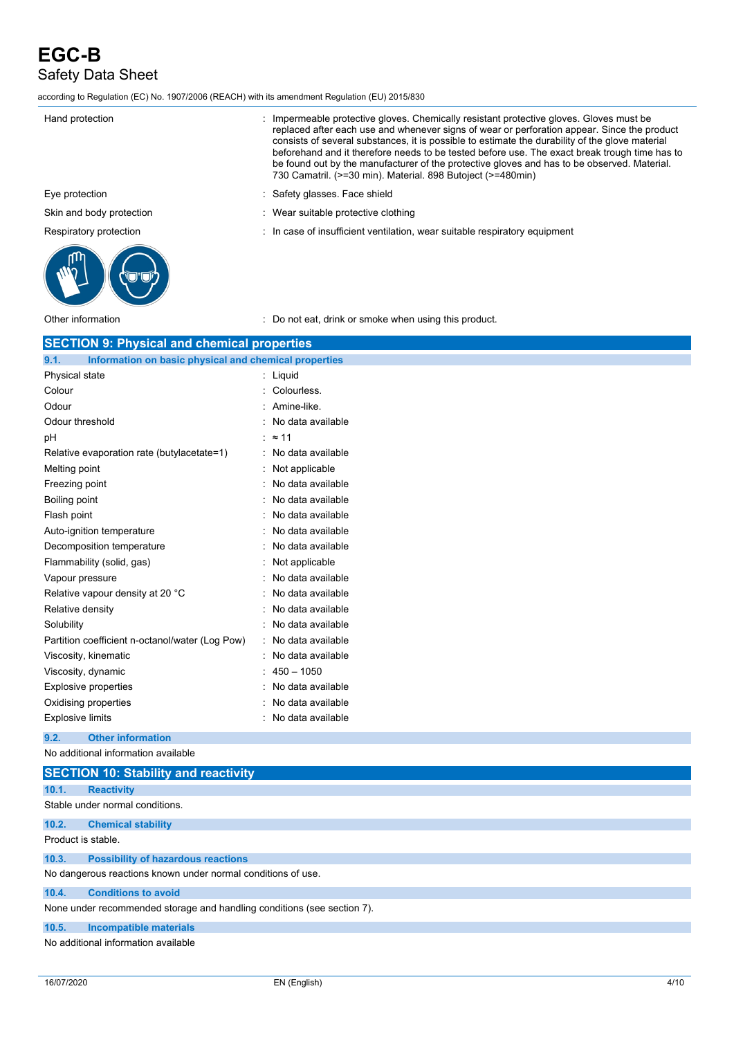# **EGC-B** Safety Data Sheet

according to Regulation (EC) No. 1907/2006 (REACH) with its amendment Regulation (EU) 2015/830

| Hand protection                                    | Impermeable protective gloves. Chemically resistant protective gloves. Gloves must be<br>replaced after each use and whenever signs of wear or perforation appear. Since the product<br>consists of several substances, it is possible to estimate the durability of the glove material<br>beforehand and it therefore needs to be tested before use. The exact break trough time has to<br>be found out by the manufacturer of the protective gloves and has to be observed. Material.<br>730 Camatril. (>=30 min). Material. 898 Butoject (>=480min) |
|----------------------------------------------------|--------------------------------------------------------------------------------------------------------------------------------------------------------------------------------------------------------------------------------------------------------------------------------------------------------------------------------------------------------------------------------------------------------------------------------------------------------------------------------------------------------------------------------------------------------|
| Eye protection                                     | Safety glasses. Face shield                                                                                                                                                                                                                                                                                                                                                                                                                                                                                                                            |
| Skin and body protection                           | Wear suitable protective clothing                                                                                                                                                                                                                                                                                                                                                                                                                                                                                                                      |
| Respiratory protection                             | : In case of insufficient ventilation, wear suitable respiratory equipment                                                                                                                                                                                                                                                                                                                                                                                                                                                                             |
|                                                    |                                                                                                                                                                                                                                                                                                                                                                                                                                                                                                                                                        |
| Other information                                  | : Do not eat, drink or smoke when using this product.                                                                                                                                                                                                                                                                                                                                                                                                                                                                                                  |
| <b>SECTION 9: Physical and chemical properties</b> |                                                                                                                                                                                                                                                                                                                                                                                                                                                                                                                                                        |

| 9.1.<br>Information on basic physical and chemical properties |                                  |
|---------------------------------------------------------------|----------------------------------|
| Physical state                                                | Liquid                           |
| Colour                                                        | Colourless.                      |
| Odour                                                         | Amine-like.                      |
| Odour threshold                                               | No data available                |
| рH                                                            | $\approx$ 11                     |
| Relative evaporation rate (butylacetate=1)                    | No data available                |
| Melting point                                                 | Not applicable                   |
| Freezing point                                                | No data available                |
| Boiling point                                                 | No data available                |
| Flash point                                                   | No data available                |
| Auto-ignition temperature                                     | No data available                |
| Decomposition temperature                                     | No data available                |
| Flammability (solid, gas)                                     | Not applicable                   |
| Vapour pressure                                               | No data available                |
| Relative vapour density at 20 °C                              | No data available                |
| Relative density                                              | No data available                |
| Solubility                                                    | No data available                |
| Partition coefficient n-octanol/water (Log Pow)               | No data available<br>$\bullet$ . |
| Viscosity, kinematic                                          | No data available                |
| Viscosity, dynamic                                            | $450 - 1050$                     |
| <b>Explosive properties</b>                                   | No data available                |
| Oxidising properties                                          | No data available                |
| <b>Explosive limits</b>                                       | No data available                |
|                                                               |                                  |

**9.2. Other information**

No additional information available

|                    | <b>SECTION 10: Stability and reactivity</b>                             |
|--------------------|-------------------------------------------------------------------------|
| 10.1.              | <b>Reactivity</b>                                                       |
|                    | Stable under normal conditions.                                         |
| 10.2.              | <b>Chemical stability</b>                                               |
| Product is stable. |                                                                         |
| 10.3.              | <b>Possibility of hazardous reactions</b>                               |
|                    | No dangerous reactions known under normal conditions of use.            |
| 10.4.              | <b>Conditions to avoid</b>                                              |
|                    | None under recommended storage and handling conditions (see section 7). |
| 10.5.              | Incompatible materials                                                  |
|                    | No additional information available                                     |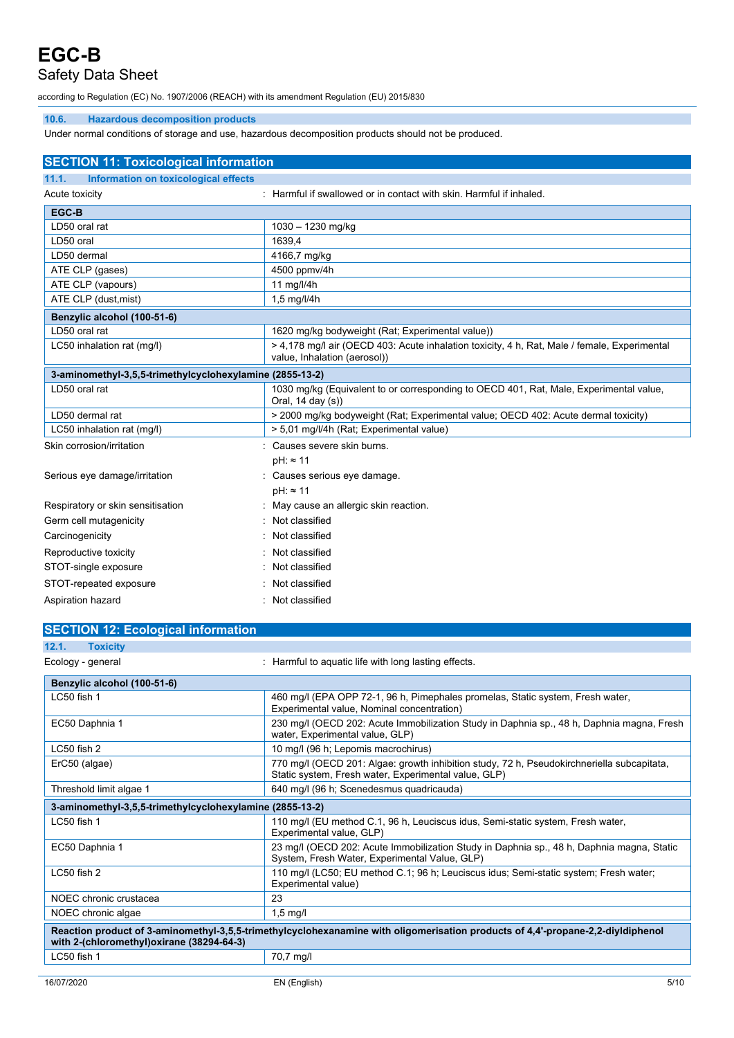### Safety Data Sheet

according to Regulation (EC) No. 1907/2006 (REACH) with its amendment Regulation (EU) 2015/830

#### **10.6. Hazardous decomposition products**

Under normal conditions of storage and use, hazardous decomposition products should not be produced.

| <b>SECTION 11: Toxicological information</b>             |                                                                                                                              |  |  |
|----------------------------------------------------------|------------------------------------------------------------------------------------------------------------------------------|--|--|
| 11.1.<br>Information on toxicological effects            |                                                                                                                              |  |  |
| Acute toxicity                                           | : Harmful if swallowed or in contact with skin. Harmful if inhaled.                                                          |  |  |
| EGC-B                                                    |                                                                                                                              |  |  |
| LD50 oral rat                                            | $1030 - 1230$ mg/kg                                                                                                          |  |  |
| LD50 oral                                                | 1639.4                                                                                                                       |  |  |
| LD50 dermal                                              | 4166,7 mg/kg                                                                                                                 |  |  |
| ATE CLP (gases)                                          | 4500 ppmv/4h                                                                                                                 |  |  |
| ATE CLP (vapours)                                        | 11 mg/l/4h                                                                                                                   |  |  |
| ATE CLP (dust, mist)                                     | 1,5 mg/l/4h                                                                                                                  |  |  |
| Benzylic alcohol (100-51-6)                              |                                                                                                                              |  |  |
| LD50 oral rat                                            | 1620 mg/kg bodyweight (Rat; Experimental value))                                                                             |  |  |
| LC50 inhalation rat (mg/l)                               | > 4,178 mg/l air (OECD 403: Acute inhalation toxicity, 4 h, Rat, Male / female, Experimental<br>value, Inhalation (aerosol)) |  |  |
| 3-aminomethyl-3,5,5-trimethylcyclohexylamine (2855-13-2) |                                                                                                                              |  |  |
| LD50 oral rat                                            | 1030 mg/kg (Equivalent to or corresponding to OECD 401, Rat, Male, Experimental value,<br>Oral, 14 day (s))                  |  |  |
| LD50 dermal rat                                          | > 2000 mg/kg bodyweight (Rat; Experimental value; OECD 402: Acute dermal toxicity)                                           |  |  |
| LC50 inhalation rat (mg/l)                               | > 5,01 mg/l/4h (Rat; Experimental value)                                                                                     |  |  |
| Skin corrosion/irritation                                | Causes severe skin burns.                                                                                                    |  |  |
|                                                          | $pH: \approx 11$                                                                                                             |  |  |
| Serious eye damage/irritation                            | Causes serious eye damage.                                                                                                   |  |  |
|                                                          | $pH: \approx 11$                                                                                                             |  |  |
| Respiratory or skin sensitisation                        | May cause an allergic skin reaction.                                                                                         |  |  |
| Germ cell mutagenicity                                   | Not classified                                                                                                               |  |  |
| Carcinogenicity                                          | Not classified                                                                                                               |  |  |
| Reproductive toxicity                                    | Not classified                                                                                                               |  |  |
| STOT-single exposure                                     | Not classified                                                                                                               |  |  |
| STOT-repeated exposure                                   | Not classified                                                                                                               |  |  |
| Aspiration hazard                                        | Not classified                                                                                                               |  |  |

| <b>SECTION 12: Ecological information</b>                                                                                                                                    |                                                                                                                                                    |  |  |
|------------------------------------------------------------------------------------------------------------------------------------------------------------------------------|----------------------------------------------------------------------------------------------------------------------------------------------------|--|--|
| 12.1.<br><b>Toxicity</b>                                                                                                                                                     |                                                                                                                                                    |  |  |
| Ecology - general                                                                                                                                                            | : Harmful to aquatic life with long lasting effects.                                                                                               |  |  |
| Benzylic alcohol (100-51-6)                                                                                                                                                  |                                                                                                                                                    |  |  |
| $LC50$ fish 1                                                                                                                                                                | 460 mg/l (EPA OPP 72-1, 96 h, Pimephales promelas, Static system, Fresh water,<br>Experimental value, Nominal concentration)                       |  |  |
| EC50 Daphnia 1                                                                                                                                                               | 230 mg/l (OECD 202: Acute Immobilization Study in Daphnia sp., 48 h, Daphnia magna, Fresh<br>water, Experimental value, GLP)                       |  |  |
| $LC50$ fish $2$                                                                                                                                                              | 10 mg/l (96 h; Lepomis macrochirus)                                                                                                                |  |  |
| ErC50 (algae)                                                                                                                                                                | 770 mg/l (OECD 201: Algae: growth inhibition study, 72 h, Pseudokirchneriella subcapitata,<br>Static system, Fresh water, Experimental value, GLP) |  |  |
| Threshold limit algae 1                                                                                                                                                      | 640 mg/l (96 h; Scenedesmus quadricauda)                                                                                                           |  |  |
| 3-aminomethyl-3,5,5-trimethylcyclohexylamine (2855-13-2)                                                                                                                     |                                                                                                                                                    |  |  |
| LC50 fish 1                                                                                                                                                                  | 110 mg/l (EU method C.1, 96 h, Leuciscus idus, Semi-static system, Fresh water,<br>Experimental value, GLP)                                        |  |  |
| EC50 Daphnia 1                                                                                                                                                               | 23 mg/l (OECD 202: Acute Immobilization Study in Daphnia sp., 48 h, Daphnia magna, Static<br>System, Fresh Water, Experimental Value, GLP)         |  |  |
| $LC50$ fish $2$                                                                                                                                                              | 110 mg/l (LC50; EU method C.1; 96 h; Leuciscus idus; Semi-static system; Fresh water;<br>Experimental value)                                       |  |  |
| NOEC chronic crustacea                                                                                                                                                       | 23                                                                                                                                                 |  |  |
| NOEC chronic algae                                                                                                                                                           | $1.5$ mg/l                                                                                                                                         |  |  |
| Reaction product of 3-aminomethyl-3,5,5-trimethylcyclohexanamine with oligomerisation products of 4,4'-propane-2,2-diyldiphenol<br>with 2-(chloromethyl)oxirane (38294-64-3) |                                                                                                                                                    |  |  |
| $LC50$ fish 1                                                                                                                                                                | 70,7 mg/l                                                                                                                                          |  |  |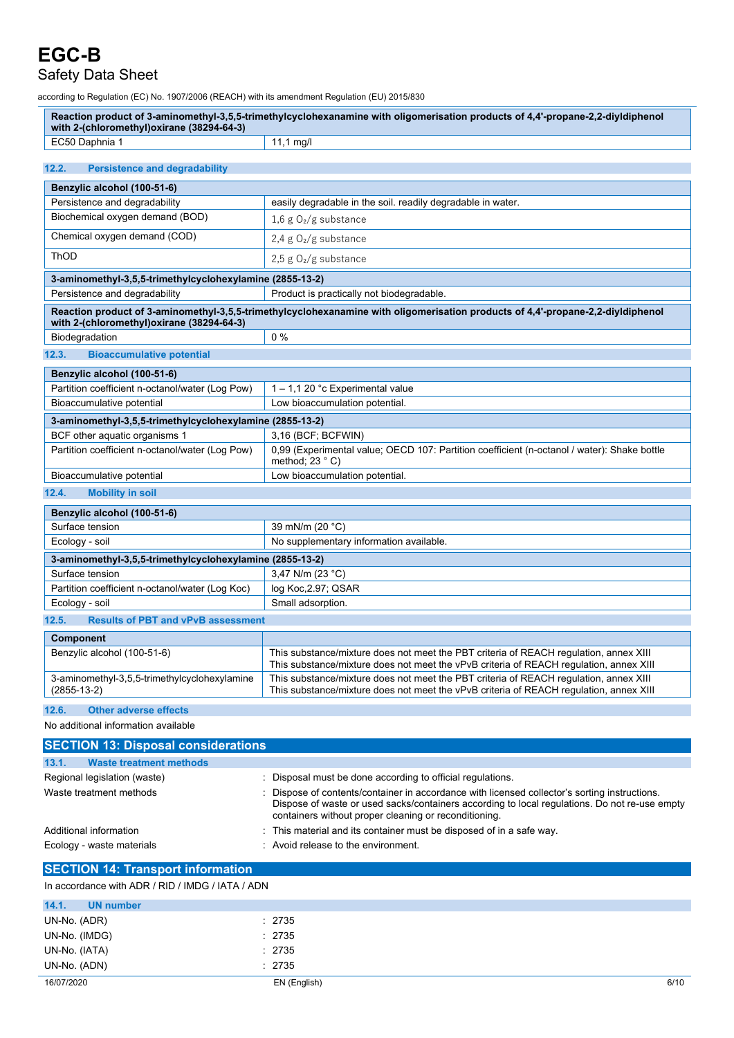### Safety Data Sheet

according to Regulation (EC) No. 1907/2006 (REACH) with its amendment Regulation (EU) 2015/830

| Reaction product of 3-aminomethyl-3,5,5-trimethylcyclohexanamine with oligomerisation products of 4,4'-propane-2,2-diyldiphenol<br>with 2-(chloromethyl)oxirane (38294-64-3) |                                                                                                                                                                                                                                                       |  |  |
|------------------------------------------------------------------------------------------------------------------------------------------------------------------------------|-------------------------------------------------------------------------------------------------------------------------------------------------------------------------------------------------------------------------------------------------------|--|--|
| EC50 Daphnia 1                                                                                                                                                               | $11,1 \text{ mg/l}$                                                                                                                                                                                                                                   |  |  |
|                                                                                                                                                                              |                                                                                                                                                                                                                                                       |  |  |
| 12.2.<br><b>Persistence and degradability</b>                                                                                                                                |                                                                                                                                                                                                                                                       |  |  |
| Benzylic alcohol (100-51-6)                                                                                                                                                  |                                                                                                                                                                                                                                                       |  |  |
| Persistence and degradability                                                                                                                                                | easily degradable in the soil. readily degradable in water.                                                                                                                                                                                           |  |  |
| Biochemical oxygen demand (BOD)                                                                                                                                              | 1,6 g $O_2/g$ substance                                                                                                                                                                                                                               |  |  |
| Chemical oxygen demand (COD)                                                                                                                                                 | 2,4 g $O_2/g$ substance                                                                                                                                                                                                                               |  |  |
| ThOD                                                                                                                                                                         | 2,5 g $O_2/g$ substance                                                                                                                                                                                                                               |  |  |
| 3-aminomethyl-3,5,5-trimethylcyclohexylamine (2855-13-2)                                                                                                                     |                                                                                                                                                                                                                                                       |  |  |
| Persistence and degradability                                                                                                                                                | Product is practically not biodegradable.                                                                                                                                                                                                             |  |  |
|                                                                                                                                                                              | Reaction product of 3-aminomethyl-3,5,5-trimethylcyclohexanamine with oligomerisation products of 4,4'-propane-2,2-diyldiphenol                                                                                                                       |  |  |
| with 2-(chloromethyl) oxirane (38294-64-3)                                                                                                                                   |                                                                                                                                                                                                                                                       |  |  |
| Biodegradation                                                                                                                                                               | $0\%$                                                                                                                                                                                                                                                 |  |  |
| 12.3.<br><b>Bioaccumulative potential</b>                                                                                                                                    |                                                                                                                                                                                                                                                       |  |  |
| Benzylic alcohol (100-51-6)                                                                                                                                                  |                                                                                                                                                                                                                                                       |  |  |
| Partition coefficient n-octanol/water (Log Pow)                                                                                                                              | 1 - 1,1 20 °c Experimental value                                                                                                                                                                                                                      |  |  |
| Bioaccumulative potential                                                                                                                                                    | Low bioaccumulation potential.                                                                                                                                                                                                                        |  |  |
| 3-aminomethyl-3,5,5-trimethylcyclohexylamine (2855-13-2)                                                                                                                     |                                                                                                                                                                                                                                                       |  |  |
| BCF other aquatic organisms 1                                                                                                                                                | 3,16 (BCF; BCFWIN)                                                                                                                                                                                                                                    |  |  |
| Partition coefficient n-octanol/water (Log Pow)                                                                                                                              | 0,99 (Experimental value; OECD 107: Partition coefficient (n-octanol / water): Shake bottle<br>method; 23 °C)                                                                                                                                         |  |  |
| Bioaccumulative potential                                                                                                                                                    | Low bioaccumulation potential.                                                                                                                                                                                                                        |  |  |
| 12.4.<br><b>Mobility in soil</b>                                                                                                                                             |                                                                                                                                                                                                                                                       |  |  |
| Benzylic alcohol (100-51-6)                                                                                                                                                  |                                                                                                                                                                                                                                                       |  |  |
| Surface tension                                                                                                                                                              | 39 mN/m (20 °C)                                                                                                                                                                                                                                       |  |  |
| Ecology - soil                                                                                                                                                               | No supplementary information available.                                                                                                                                                                                                               |  |  |
|                                                                                                                                                                              |                                                                                                                                                                                                                                                       |  |  |
| 3-aminomethyl-3,5,5-trimethylcyclohexylamine (2855-13-2)<br>Surface tension                                                                                                  | 3,47 N/m (23 °C)                                                                                                                                                                                                                                      |  |  |
| Partition coefficient n-octanol/water (Log Koc)                                                                                                                              | log Koc, 2.97; QSAR                                                                                                                                                                                                                                   |  |  |
| Ecology - soil                                                                                                                                                               | Small adsorption.                                                                                                                                                                                                                                     |  |  |
|                                                                                                                                                                              |                                                                                                                                                                                                                                                       |  |  |
| 12.5.<br><b>Results of PBT and vPvB assessment</b>                                                                                                                           |                                                                                                                                                                                                                                                       |  |  |
| Component                                                                                                                                                                    |                                                                                                                                                                                                                                                       |  |  |
| Benzylic alcohol (100-51-6)                                                                                                                                                  | This substance/mixture does not meet the PBT criteria of REACH regulation, annex XIII<br>This substance/mixture does not meet the vPvB criteria of REACH regulation, annex XIII                                                                       |  |  |
| 3-aminomethyl-3,5,5-trimethylcyclohexylamine<br>$(2855-13-2)$                                                                                                                | This substance/mixture does not meet the PBT criteria of REACH regulation, annex XIII<br>This substance/mixture does not meet the vPvB criteria of REACH regulation, annex XIII                                                                       |  |  |
| 12.6.<br><b>Other adverse effects</b>                                                                                                                                        |                                                                                                                                                                                                                                                       |  |  |
| No additional information available                                                                                                                                          |                                                                                                                                                                                                                                                       |  |  |
| <b>SECTION 13: Disposal considerations</b>                                                                                                                                   |                                                                                                                                                                                                                                                       |  |  |
| 13.1.<br><b>Waste treatment methods</b>                                                                                                                                      |                                                                                                                                                                                                                                                       |  |  |
| Regional legislation (waste)                                                                                                                                                 | : Disposal must be done according to official regulations.                                                                                                                                                                                            |  |  |
| Waste treatment methods                                                                                                                                                      | Dispose of contents/container in accordance with licensed collector's sorting instructions.<br>Dispose of waste or used sacks/containers according to local regulations. Do not re-use empty<br>containers without proper cleaning or reconditioning. |  |  |
| Additional information                                                                                                                                                       | This material and its container must be disposed of in a safe way.                                                                                                                                                                                    |  |  |

|  | $\,$ . This matcharative its container must be disposed of in a |  |  |  |
|--|-----------------------------------------------------------------|--|--|--|
|  |                                                                 |  |  |  |

# Ecology - waste materials **Ecology - waste materials** : Avoid release to the environment.

### **SECTION 14: Transport information**

#### In accordance with ADR / RID / IMDG / IATA / ADN

| 14.1.<br><b>UN number</b> |              |      |
|---------------------------|--------------|------|
| UN-No. (ADR)              | : 2735       |      |
| UN-No. (IMDG)             | : 2735       |      |
| UN-No. (IATA)             | : 2735       |      |
| UN-No. (ADN)              | : 2735       |      |
| 16/07/2020                | EN (English) | 6/10 |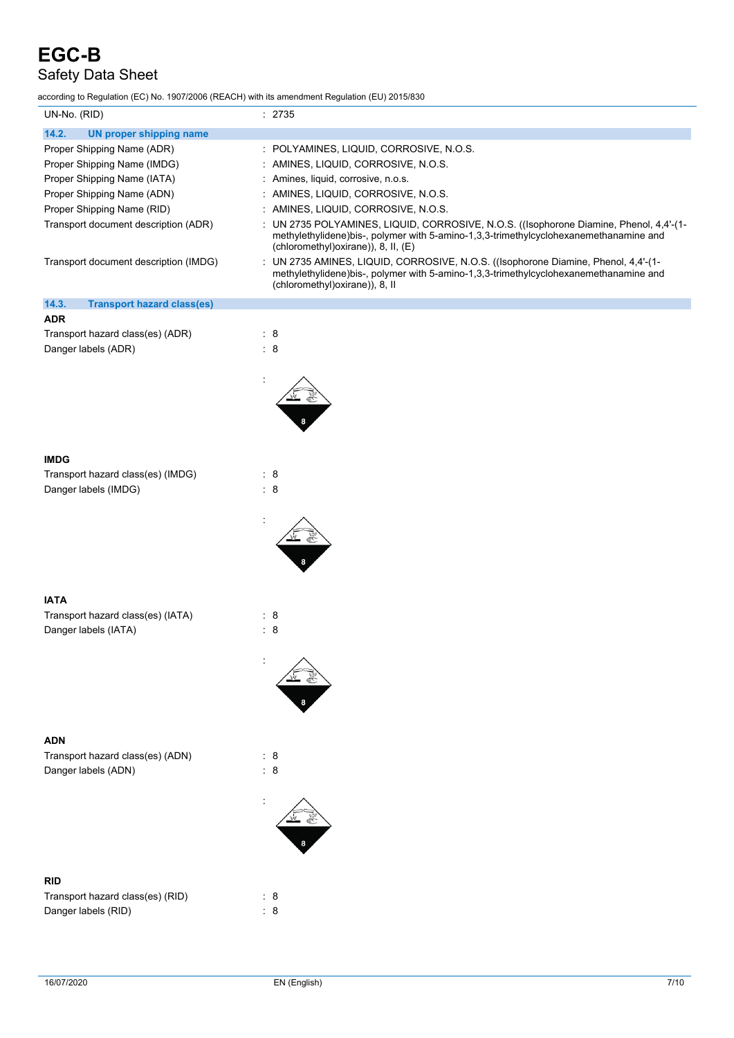# Safety Data Sheet

according to Regulation (EC) No. 1907/2006 (REACH) with its amendment Regulation (EU) 2015/830

| UN-No. (RID)                               | : 2735                                                                                                                                                                                                               |
|--------------------------------------------|----------------------------------------------------------------------------------------------------------------------------------------------------------------------------------------------------------------------|
| 14.2.<br><b>UN proper shipping name</b>    |                                                                                                                                                                                                                      |
| Proper Shipping Name (ADR)                 | : POLYAMINES, LIQUID, CORROSIVE, N.O.S.                                                                                                                                                                              |
| Proper Shipping Name (IMDG)                | : AMINES, LIQUID, CORROSIVE, N.O.S.                                                                                                                                                                                  |
| Proper Shipping Name (IATA)                | : Amines, liquid, corrosive, n.o.s.                                                                                                                                                                                  |
| Proper Shipping Name (ADN)                 | : AMINES, LIQUID, CORROSIVE, N.O.S.                                                                                                                                                                                  |
| Proper Shipping Name (RID)                 | : AMINES, LIQUID, CORROSIVE, N.O.S.                                                                                                                                                                                  |
| Transport document description (ADR)       | UN 2735 POLYAMINES, LIQUID, CORROSIVE, N.O.S. ((Isophorone Diamine, Phenol, 4,4'-(1-<br>methylethylidene)bis-, polymer with 5-amino-1,3,3-trimethylcyclohexanemethanamine and<br>(chloromethyl)oxirane)), 8, II, (E) |
| Transport document description (IMDG)      | UN 2735 AMINES, LIQUID, CORROSIVE, N.O.S. ((Isophorone Diamine, Phenol, 4,4'-(1-<br>methylethylidene)bis-, polymer with 5-amino-1,3,3-trimethylcyclohexanemethanamine and<br>(chloromethyl) oxirane)), 8, II         |
| 14.3.<br><b>Transport hazard class(es)</b> |                                                                                                                                                                                                                      |
| <b>ADR</b>                                 |                                                                                                                                                                                                                      |
| Transport hazard class(es) (ADR)           | $\therefore$ 8                                                                                                                                                                                                       |
| Danger labels (ADR)                        | $\therefore$ 8                                                                                                                                                                                                       |
|                                            |                                                                                                                                                                                                                      |
|                                            |                                                                                                                                                                                                                      |
|                                            |                                                                                                                                                                                                                      |
|                                            |                                                                                                                                                                                                                      |
|                                            |                                                                                                                                                                                                                      |
|                                            |                                                                                                                                                                                                                      |
| <b>IMDG</b>                                |                                                                                                                                                                                                                      |
| Transport hazard class(es) (IMDG)          | $\therefore$ 8                                                                                                                                                                                                       |
| Danger labels (IMDG)                       | $\therefore$ 8                                                                                                                                                                                                       |
|                                            |                                                                                                                                                                                                                      |
|                                            |                                                                                                                                                                                                                      |
|                                            |                                                                                                                                                                                                                      |
| <b>IATA</b>                                |                                                                                                                                                                                                                      |
| Transport hazard class(es) (IATA)          | $\therefore$ 8                                                                                                                                                                                                       |
| Danger labels (IATA)                       | $\therefore$ 8                                                                                                                                                                                                       |
|                                            |                                                                                                                                                                                                                      |
|                                            |                                                                                                                                                                                                                      |
|                                            |                                                                                                                                                                                                                      |
|                                            |                                                                                                                                                                                                                      |
|                                            |                                                                                                                                                                                                                      |
|                                            |                                                                                                                                                                                                                      |
| <b>ADN</b>                                 |                                                                                                                                                                                                                      |
| Transport hazard class(es) (ADN)           | : 8                                                                                                                                                                                                                  |
| Danger labels (ADN)                        | $\therefore$ 8                                                                                                                                                                                                       |
|                                            |                                                                                                                                                                                                                      |
|                                            |                                                                                                                                                                                                                      |
| <b>RID</b>                                 |                                                                                                                                                                                                                      |
| Transport hazard class(es) (RID)           | $\therefore$ 8                                                                                                                                                                                                       |
| Danger labels (RID)                        | $\therefore$ 8                                                                                                                                                                                                       |
|                                            |                                                                                                                                                                                                                      |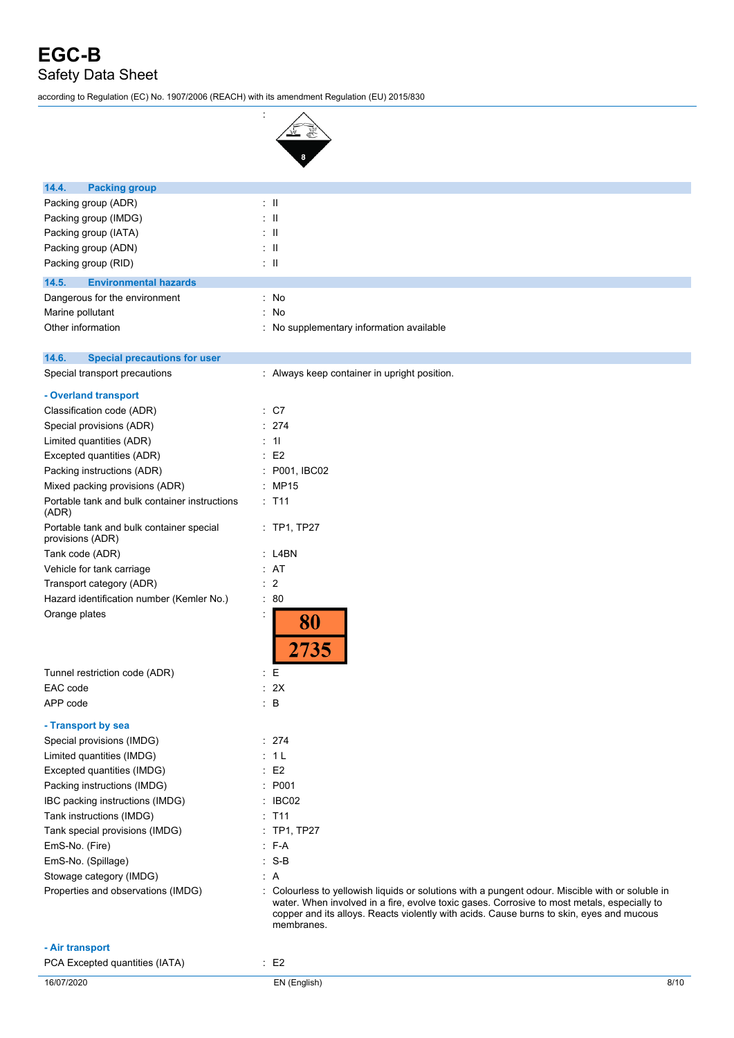# **EGC-B** Safety Data Sheet

according to Regulation (EC) No. 1907/2006 (REACH) with its amendment Regulation (EU) 2015/830

:



| 14.4.<br><b>Packing group</b>                                |                                                                                                                                                                                                                                                                                                           |
|--------------------------------------------------------------|-----------------------------------------------------------------------------------------------------------------------------------------------------------------------------------------------------------------------------------------------------------------------------------------------------------|
| Packing group (ADR)                                          | $\pm$ 11                                                                                                                                                                                                                                                                                                  |
| Packing group (IMDG)                                         | $\pm$ 11                                                                                                                                                                                                                                                                                                  |
| Packing group (IATA)                                         | : II                                                                                                                                                                                                                                                                                                      |
| Packing group (ADN)                                          | $\pm$ 11                                                                                                                                                                                                                                                                                                  |
| Packing group (RID)                                          | $\pm$ 11                                                                                                                                                                                                                                                                                                  |
| 14.5.<br><b>Environmental hazards</b>                        |                                                                                                                                                                                                                                                                                                           |
| Dangerous for the environment                                | : No                                                                                                                                                                                                                                                                                                      |
| Marine pollutant                                             | : No                                                                                                                                                                                                                                                                                                      |
| Other information                                            | : No supplementary information available                                                                                                                                                                                                                                                                  |
| 14.6.<br><b>Special precautions for user</b>                 |                                                                                                                                                                                                                                                                                                           |
| Special transport precautions                                | : Always keep container in upright position.                                                                                                                                                                                                                                                              |
| - Overland transport                                         |                                                                                                                                                                                                                                                                                                           |
| Classification code (ADR)                                    | $\therefore$ C7                                                                                                                                                                                                                                                                                           |
| Special provisions (ADR)                                     | : 274                                                                                                                                                                                                                                                                                                     |
| Limited quantities (ADR)                                     | $\therefore$ 11                                                                                                                                                                                                                                                                                           |
| Excepted quantities (ADR)                                    | $\therefore$ E2                                                                                                                                                                                                                                                                                           |
| Packing instructions (ADR)                                   | P001, IBC02                                                                                                                                                                                                                                                                                               |
| Mixed packing provisions (ADR)                               | <b>MP15</b>                                                                                                                                                                                                                                                                                               |
| Portable tank and bulk container instructions<br>(ADR)       | : T11                                                                                                                                                                                                                                                                                                     |
| Portable tank and bulk container special<br>provisions (ADR) | $:$ TP1, TP27                                                                                                                                                                                                                                                                                             |
| Tank code (ADR)                                              | $:$ L4BN                                                                                                                                                                                                                                                                                                  |
| Vehicle for tank carriage                                    | : AT                                                                                                                                                                                                                                                                                                      |
| Transport category (ADR)                                     | $\therefore$ 2                                                                                                                                                                                                                                                                                            |
| Hazard identification number (Kemler No.)                    | $\therefore 80$                                                                                                                                                                                                                                                                                           |
| Orange plates                                                | İ,<br>80<br>2735                                                                                                                                                                                                                                                                                          |
| Tunnel restriction code (ADR)                                | E                                                                                                                                                                                                                                                                                                         |
| EAC code                                                     | : 2X                                                                                                                                                                                                                                                                                                      |
| APP code                                                     | $\therefore$ B                                                                                                                                                                                                                                                                                            |
| - Transport by sea                                           |                                                                                                                                                                                                                                                                                                           |
| Special provisions (IMDG)                                    | : 274                                                                                                                                                                                                                                                                                                     |
| Limited quantities (IMDG)                                    | : 1 L                                                                                                                                                                                                                                                                                                     |
| Excepted quantities (IMDG)                                   | $\therefore$ E2                                                                                                                                                                                                                                                                                           |
|                                                              | : P001                                                                                                                                                                                                                                                                                                    |
| Packing instructions (IMDG)                                  | : IBC02                                                                                                                                                                                                                                                                                                   |
| IBC packing instructions (IMDG)                              | $:$ T11                                                                                                                                                                                                                                                                                                   |
| Tank instructions (IMDG)                                     |                                                                                                                                                                                                                                                                                                           |
| Tank special provisions (IMDG)                               | $:$ TP1, TP27                                                                                                                                                                                                                                                                                             |
| EmS-No. (Fire)                                               | $: F-A$                                                                                                                                                                                                                                                                                                   |
| EmS-No. (Spillage)                                           | $S-B$                                                                                                                                                                                                                                                                                                     |
| Stowage category (IMDG)                                      | : A                                                                                                                                                                                                                                                                                                       |
| Properties and observations (IMDG)                           | : Colourless to yellowish liquids or solutions with a pungent odour. Miscible with or soluble in<br>water. When involved in a fire, evolve toxic gases. Corrosive to most metals, especially to<br>copper and its alloys. Reacts violently with acids. Cause burns to skin, eyes and mucous<br>membranes. |
| - Air transport                                              |                                                                                                                                                                                                                                                                                                           |
| PCA Excepted quantities (IATA)                               | $\cdot$ E2                                                                                                                                                                                                                                                                                                |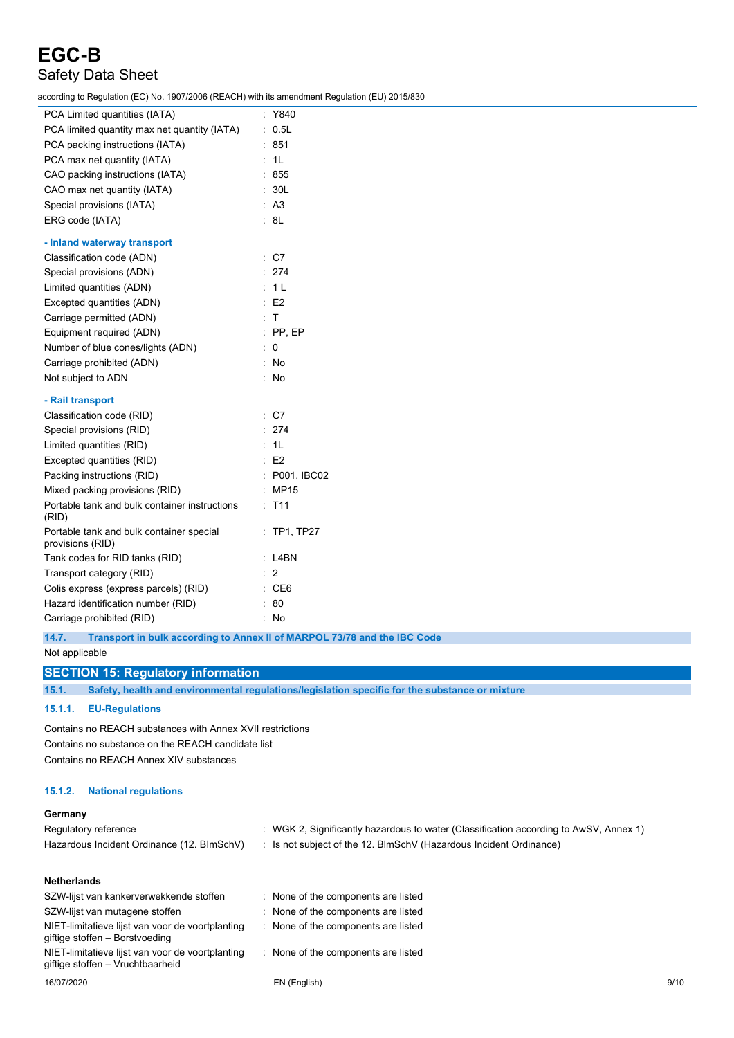# Safety Data Sheet

according to Regulation (EC) No. 1907/2006 (REACH) with its amendment Regulation (EU) 2015/830

| PCA Limited quantities (IATA)                                | : Y840           |
|--------------------------------------------------------------|------------------|
| PCA limited quantity max net quantity (IATA)                 | : 0.5L           |
| PCA packing instructions (IATA)                              | $\therefore$ 851 |
| PCA max net quantity (IATA)                                  | : 1L             |
| CAO packing instructions (IATA)                              | : 855            |
| CAO max net quantity (IATA)                                  | : 30L            |
| Special provisions (IATA)                                    | : A3             |
| ERG code (IATA)                                              | : 8L             |
| - Inland waterway transport                                  |                  |
| Classification code (ADN)                                    | $\therefore$ C7  |
| Special provisions (ADN)                                     | : 274            |
| Limited quantities (ADN)                                     | : 1L             |
| Excepted quantities (ADN)                                    | $\therefore$ E2  |
| Carriage permitted (ADN)                                     | $\therefore$ T   |
| Equipment required (ADN)                                     | $:$ PP, EP       |
| Number of blue cones/lights (ADN)                            | $\therefore$ 0   |
| Carriage prohibited (ADN)                                    | : No             |
| Not subject to ADN                                           | $\therefore$ No  |
| - Rail transport                                             |                  |
| Classification code (RID)                                    | $\therefore$ C7  |
| Special provisions (RID)                                     | : 274            |
| Limited quantities (RID)                                     | : 1L             |
| Excepted quantities (RID)                                    | E2               |
| Packing instructions (RID)                                   | : P001, IBC02    |
| Mixed packing provisions (RID)                               | : MP15           |
| Portable tank and bulk container instructions<br>(RID)       | : T11            |
| Portable tank and bulk container special<br>provisions (RID) | $:$ TP1, TP27    |
| Tank codes for RID tanks (RID)                               | : L4BN           |
| Transport category (RID)                                     | $\therefore$ 2   |
| Colis express (express parcels) (RID)                        | $\therefore$ CE6 |
| Hazard identification number (RID)                           | $\therefore 80$  |
| Carriage prohibited (RID)                                    | : No             |
|                                                              |                  |

**14.7. Transport in bulk according to Annex II of MARPOL 73/78 and the IBC Code**

Not applicable

#### **SECTION 15: Regulatory information**

**15.1. Safety, health and environmental regulations/legislation specific for the substance or mixture**

#### **15.1.1. EU-Regulations**

Contains no REACH substances with Annex XVII restrictions Contains no substance on the REACH candidate list Contains no REACH Annex XIV substances

#### **15.1.2. National regulations**

giftige stoffen – Vruchtbaarheid

#### **Germany**

| Regulatory reference                                                               | : WGK 2, Significantly hazardous to water (Classification according to AwSV, Annex 1) |
|------------------------------------------------------------------------------------|---------------------------------------------------------------------------------------|
| Hazardous Incident Ordinance (12. BImSchV)                                         | : Is not subject of the 12. BlmSchV (Hazardous Incident Ordinance)                    |
| <b>Netherlands</b>                                                                 |                                                                                       |
| SZW-lijst van kankerverwekkende stoffen                                            | : None of the components are listed                                                   |
| SZW-lijst van mutagene stoffen                                                     | : None of the components are listed                                                   |
| NIET-limitatieve lijst van voor de voortplanting<br>giftige stoffen - Borstvoeding | : None of the components are listed                                                   |

NIET-limitatieve lijst van voor de voortplanting : None of the components are listed